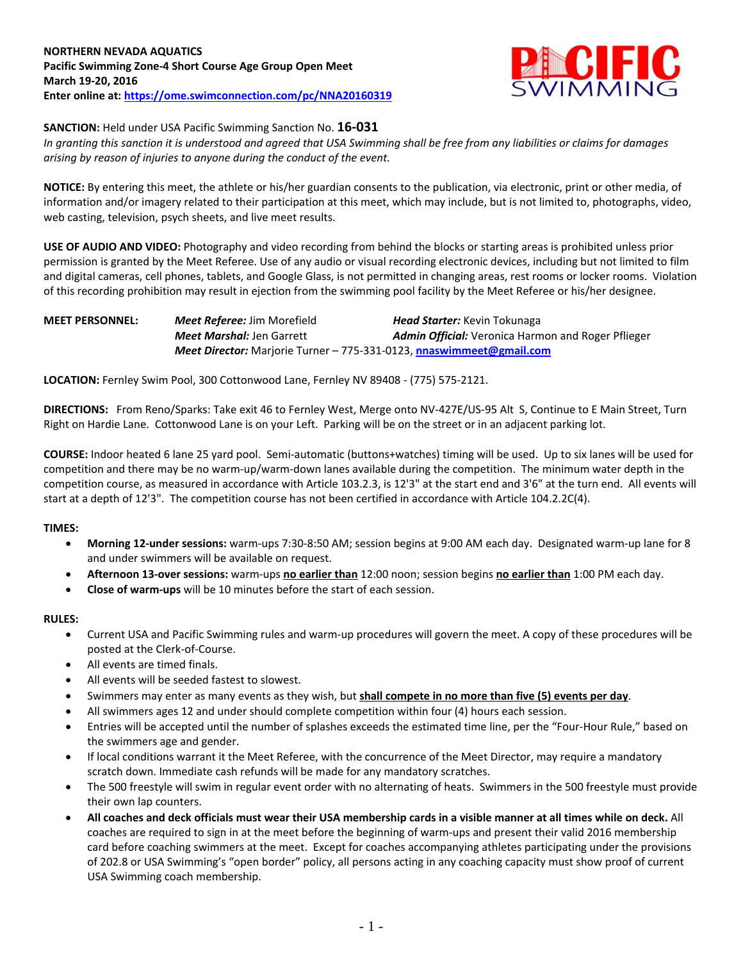

# **SANCTION:** Held under USA Pacific Swimming Sanction No. **16-031**

*In granting this sanction it is understood and agreed that USA Swimming shall be free from any liabilities or claims for damages arising by reason of injuries to anyone during the conduct of the event.*

**NOTICE:** By entering this meet, the athlete or his/her guardian consents to the publication, via electronic, print or other media, of information and/or imagery related to their participation at this meet, which may include, but is not limited to, photographs, video, web casting, television, psych sheets, and live meet results.

**USE OF AUDIO AND VIDEO:** Photography and video recording from behind the blocks or starting areas is prohibited unless prior permission is granted by the Meet Referee. Use of any audio or visual recording electronic devices, including but not limited to film and digital cameras, cell phones, tablets, and Google Glass, is not permitted in changing areas, rest rooms or locker rooms. Violation of this recording prohibition may result in ejection from the swimming pool facility by the Meet Referee or his/her designee.

| <b>MEET PERSONNEL:</b> | <b>Meet Referee: Jim Morefield</b>                                          | <b>Head Starter:</b> Kevin Tokunaga                |  |  |  |  |
|------------------------|-----------------------------------------------------------------------------|----------------------------------------------------|--|--|--|--|
|                        | <b>Meet Marshal: Jen Garrett</b>                                            | Admin Official: Veronica Harmon and Roger Pflieger |  |  |  |  |
|                        | <b>Meet Director:</b> Marjorie Turner - 775-331-0123, nnaswimmeet@gmail.com |                                                    |  |  |  |  |

**LOCATION:** Fernley Swim Pool, 300 Cottonwood Lane, Fernley NV 89408 - (775) 575-2121.

**DIRECTIONS:** From Reno/Sparks: Take exit 46 to Fernley West, Merge onto NV-427E/US-95 Alt S, Continue to E Main Street, Turn Right on Hardie Lane. Cottonwood Lane is on your Left. Parking will be on the street or in an adjacent parking lot.

**COURSE:** Indoor heated 6 lane 25 yard pool. Semi-automatic (buttons+watches) timing will be used. Up to six lanes will be used for competition and there may be no warm-up/warm-down lanes available during the competition. The minimum water depth in the competition course, as measured in accordance with Article 103.2.3, is 12'3" at the start end and 3'6" at the turn end. All events will start at a depth of 12'3". The competition course has not been certified in accordance with Article 104.2.2C(4).

# **TIMES:**

- **Morning 12-under sessions:** warm-ups 7:30-8:50 AM; session begins at 9:00 AM each day. Designated warm-up lane for 8 and under swimmers will be available on request.
- **Afternoon 13-over sessions:** warm-ups **no earlier than** 12:00 noon; session begins **no earlier than** 1:00 PM each day.
- **Close of warm-ups** will be 10 minutes before the start of each session.

#### **RULES:**

- Current USA and Pacific Swimming rules and warm-up procedures will govern the meet. A copy of these procedures will be posted at the Clerk-of-Course.
- All events are timed finals.
- All events will be seeded fastest to slowest.
- Swimmers may enter as many events as they wish, but **shall compete in no more than five (5) events per day**.
- All swimmers ages 12 and under should complete competition within four (4) hours each session.
- Entries will be accepted until the number of splashes exceeds the estimated time line, per the "Four-Hour Rule," based on the swimmers age and gender.
- If local conditions warrant it the Meet Referee, with the concurrence of the Meet Director, may require a mandatory scratch down. Immediate cash refunds will be made for any mandatory scratches.
- The 500 freestyle will swim in regular event order with no alternating of heats. Swimmers in the 500 freestyle must provide their own lap counters.
- **All coaches and deck officials must wear their USA membership cards in a visible manner at all times while on deck.** All coaches are required to sign in at the meet before the beginning of warm-ups and present their valid 2016 membership card before coaching swimmers at the meet. Except for coaches accompanying athletes participating under the provisions of 202.8 or USA Swimming's "open border" policy, all persons acting in any coaching capacity must show proof of current USA Swimming coach membership.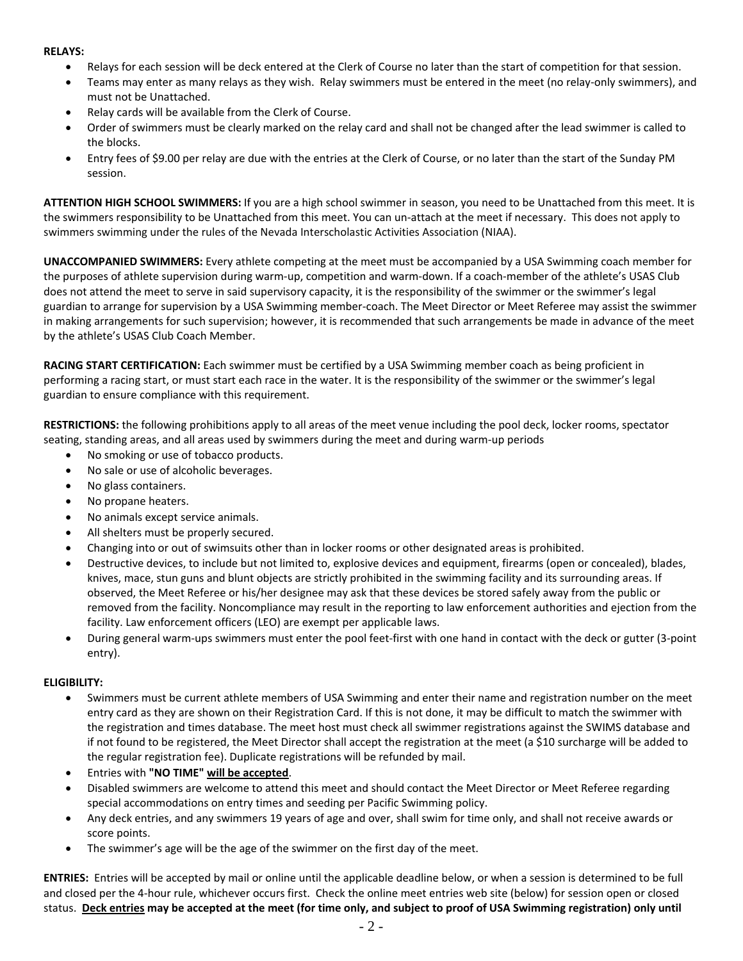### **RELAYS:**

- Relays for each session will be deck entered at the Clerk of Course no later than the start of competition for that session.
- Teams may enter as many relays as they wish. Relay swimmers must be entered in the meet (no relay-only swimmers), and must not be Unattached.
- Relay cards will be available from the Clerk of Course.
- Order of swimmers must be clearly marked on the relay card and shall not be changed after the lead swimmer is called to the blocks.
- Entry fees of \$9.00 per relay are due with the entries at the Clerk of Course, or no later than the start of the Sunday PM session.

**ATTENTION HIGH SCHOOL SWIMMERS:** If you are a high school swimmer in season, you need to be Unattached from this meet. It is the swimmers responsibility to be Unattached from this meet. You can un-attach at the meet if necessary. This does not apply to swimmers swimming under the rules of the Nevada Interscholastic Activities Association (NIAA).

**UNACCOMPANIED SWIMMERS:** Every athlete competing at the meet must be accompanied by a USA Swimming coach member for the purposes of athlete supervision during warm-up, competition and warm-down. If a coach-member of the athlete's USAS Club does not attend the meet to serve in said supervisory capacity, it is the responsibility of the swimmer or the swimmer's legal guardian to arrange for supervision by a USA Swimming member-coach. The Meet Director or Meet Referee may assist the swimmer in making arrangements for such supervision; however, it is recommended that such arrangements be made in advance of the meet by the athlete's USAS Club Coach Member.

**RACING START CERTIFICATION:** Each swimmer must be certified by a USA Swimming member coach as being proficient in performing a racing start, or must start each race in the water. It is the responsibility of the swimmer or the swimmer's legal guardian to ensure compliance with this requirement.

**RESTRICTIONS:** the following prohibitions apply to all areas of the meet venue including the pool deck, locker rooms, spectator seating, standing areas, and all areas used by swimmers during the meet and during warm-up periods

- No smoking or use of tobacco products.
- No sale or use of alcoholic beverages.
- No glass containers.
- No propane heaters.
- No animals except service animals.
- All shelters must be properly secured.
- Changing into or out of swimsuits other than in locker rooms or other designated areas is prohibited.
- Destructive devices, to include but not limited to, explosive devices and equipment, firearms (open or concealed), blades, knives, mace, stun guns and blunt objects are strictly prohibited in the swimming facility and its surrounding areas. If observed, the Meet Referee or his/her designee may ask that these devices be stored safely away from the public or removed from the facility. Noncompliance may result in the reporting to law enforcement authorities and ejection from the facility. Law enforcement officers (LEO) are exempt per applicable laws.
- During general warm-ups swimmers must enter the pool feet-first with one hand in contact with the deck or gutter (3-point entry).

# **ELIGIBILITY:**

- Swimmers must be current athlete members of USA Swimming and enter their name and registration number on the meet entry card as they are shown on their Registration Card. If this is not done, it may be difficult to match the swimmer with the registration and times database. The meet host must check all swimmer registrations against the SWIMS database and if not found to be registered, the Meet Director shall accept the registration at the meet (a \$10 surcharge will be added to the regular registration fee). Duplicate registrations will be refunded by mail.
- Entries with **"NO TIME" will be accepted**.
- Disabled swimmers are welcome to attend this meet and should contact the Meet Director or Meet Referee regarding special accommodations on entry times and seeding per Pacific Swimming policy.
- Any deck entries, and any swimmers 19 years of age and over, shall swim for time only, and shall not receive awards or score points.
- The swimmer's age will be the age of the swimmer on the first day of the meet.

**ENTRIES:** Entries will be accepted by mail or online until the applicable deadline below, or when a session is determined to be full and closed per the 4-hour rule, whichever occurs first. Check the online meet entries web site (below) for session open or closed status. **Deck entries may be accepted at the meet (for time only, and subject to proof of USA Swimming registration) only until**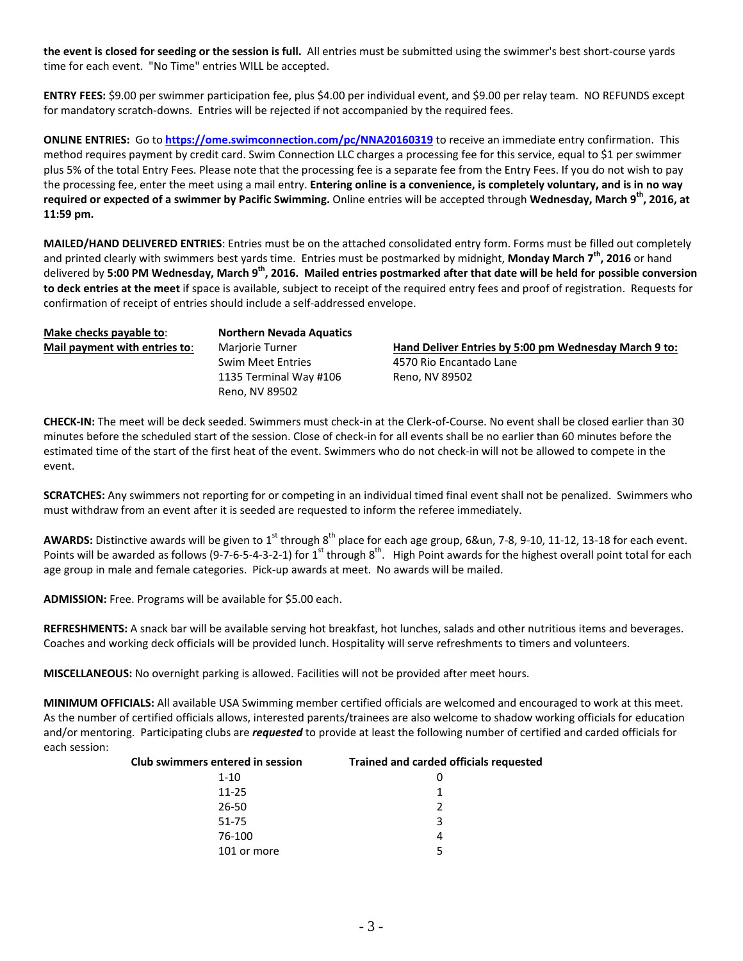**the event is closed for seeding or the session is full.** All entries must be submitted using the swimmer's best short-course yards time for each event. "No Time" entries WILL be accepted.

**ENTRY FEES:** \$9.00 per swimmer participation fee, plus \$4.00 per individual event, and \$9.00 per relay team. NO REFUNDS except for mandatory scratch-downs. Entries will be rejected if not accompanied by the required fees.

**ONLINE ENTRIES:** Go to **<https://ome.swimconnection.com/pc/NNA20160319>** to receive an immediate entry confirmation. This method requires payment by credit card. Swim Connection LLC charges a processing fee for this service, equal to \$1 per swimmer plus 5% of the total Entry Fees. Please note that the processing fee is a separate fee from the Entry Fees. If you do not wish to pay the processing fee, enter the meet using a mail entry. **Entering online is a convenience, is completely voluntary, and is in no way required or expected of a swimmer by Pacific Swimming.** Online entries will be accepted through **Wednesday, March 9 th, 2016, at 11:59 pm.**

**MAILED/HAND DELIVERED ENTRIES**: Entries must be on the attached consolidated entry form. Forms must be filled out completely and printed clearly with swimmers best yards time. Entries must be postmarked by midnight, **Monday March 7 th, 2016** or hand delivered by **5:00 PM Wednesday, March 9th, 2016. Mailed entries postmarked after that date will be held for possible conversion to deck entries at the meet** if space is available, subject to receipt of the required entry fees and proof of registration. Requests for confirmation of receipt of entries should include a self-addressed envelope.

**Make checks payable to**: **Northern Nevada Aquatics**

Swim Meet Entries 4570 Rio Encantado Lane 1135 Terminal Way #106 Reno, NV 89502 Reno, NV 89502

**Mail payment with entries to**: Marjorie Turner **Hand Deliver Entries by 5:00 pm Wednesday March 9 to:**

**CHECK-IN:** The meet will be deck seeded. Swimmers must check-in at the Clerk-of-Course. No event shall be closed earlier than 30 minutes before the scheduled start of the session. Close of check-in for all events shall be no earlier than 60 minutes before the estimated time of the start of the first heat of the event. Swimmers who do not check-in will not be allowed to compete in the event.

**SCRATCHES:** Any swimmers not reporting for or competing in an individual timed final event shall not be penalized. Swimmers who must withdraw from an event after it is seeded are requested to inform the referee immediately.

AWARDS: Distinctive awards will be given to 1<sup>st</sup> through 8<sup>th</sup> place for each age group, 6&un, 7-8, 9-10, 11-12, 13-18 for each event. Points will be awarded as follows (9-7-6-5-4-3-2-1) for  $1^{st}$  through  $8^{th}$ . High Point awards for the highest overall point total for each age group in male and female categories. Pick-up awards at meet. No awards will be mailed.

**ADMISSION:** Free. Programs will be available for \$5.00 each.

**REFRESHMENTS:** A snack bar will be available serving hot breakfast, hot lunches, salads and other nutritious items and beverages. Coaches and working deck officials will be provided lunch. Hospitality will serve refreshments to timers and volunteers.

**MISCELLANEOUS:** No overnight parking is allowed. Facilities will not be provided after meet hours.

**MINIMUM OFFICIALS:** All available USA Swimming member certified officials are welcomed and encouraged to work at this meet. As the number of certified officials allows, interested parents/trainees are also welcome to shadow working officials for education and/or mentoring. Participating clubs are *requested* to provide at least the following number of certified and carded officials for each session:

| Club swimmers entered in session | Trained and carded officials requested |  |  |  |  |
|----------------------------------|----------------------------------------|--|--|--|--|
| $1 - 10$                         | 0                                      |  |  |  |  |
| $11 - 25$                        |                                        |  |  |  |  |
| 26-50                            | 2                                      |  |  |  |  |
| 51-75                            | κ                                      |  |  |  |  |
| 76-100                           | 4                                      |  |  |  |  |
| 101 or more                      | 5                                      |  |  |  |  |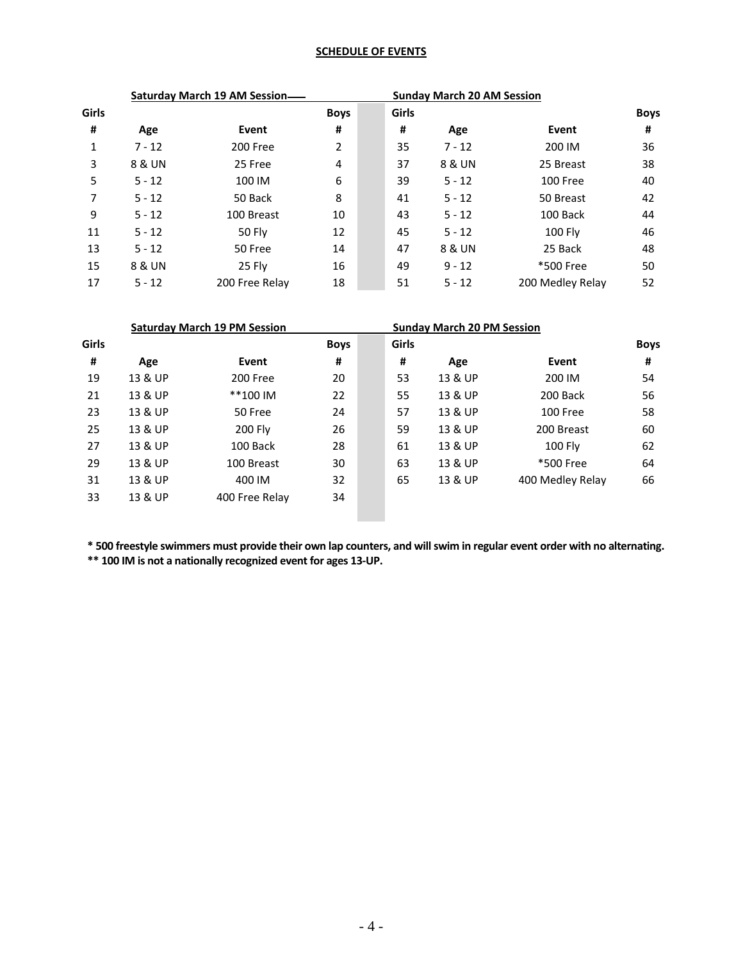# **SCHEDULE OF EVENTS**

|       | <b>Saturday March 19 AM Session-</b> |                |             |       | <b>Sunday March 20 AM Session</b> |                  |             |
|-------|--------------------------------------|----------------|-------------|-------|-----------------------------------|------------------|-------------|
| Girls |                                      |                | <b>Boys</b> | Girls |                                   |                  | <b>Boys</b> |
| #     | Age                                  | Event          | #           | #     | Age                               | Event            | #           |
| 1     | $7 - 12$                             | 200 Free       | 2           | 35    | $7 - 12$                          | 200 IM           | 36          |
| 3     | 8 & UN                               | 25 Free        | 4           | 37    | 8 & UN                            | 25 Breast        | 38          |
| 5     | $5 - 12$                             | 100 IM         | 6           | 39    | $5 - 12$                          | 100 Free         | 40          |
| 7     | $5 - 12$                             | 50 Back        | 8           | 41    | $5 - 12$                          | 50 Breast        | 42          |
| 9     | $5 - 12$                             | 100 Breast     | 10          | 43    | $5 - 12$                          | 100 Back         | 44          |
| 11    | $5 - 12$                             | 50 Fly         | 12          | 45    | $5 - 12$                          | 100 Fly          | 46          |
| 13    | $5 - 12$                             | 50 Free        | 14          | 47    | 8 & UN                            | 25 Back          | 48          |
| 15    | 8 & UN                               | 25 Fly         | 16          | 49    | $9 - 12$                          | *500 Free        | 50          |
| 17    | $5 - 12$                             | 200 Free Relay | 18          | 51    | $5 - 12$                          | 200 Medley Relay | 52          |

|       |         | <b>Saturday March 19 PM Session</b> |             |  |       | <b>Sunday March 20 PM Session</b> |                  |             |
|-------|---------|-------------------------------------|-------------|--|-------|-----------------------------------|------------------|-------------|
| Girls |         |                                     | <b>Boys</b> |  | Girls |                                   |                  | <b>Boys</b> |
| #     | Age     | Event                               | #           |  | #     | Age                               | Event            | #           |
| 19    | 13 & UP | 200 Free                            | 20          |  | 53    | 13 & UP                           | 200 IM           | 54          |
| 21    | 13 & UP | **100 IM                            | 22          |  | 55    | 13 & UP                           | 200 Back         | 56          |
| 23    | 13 & UP | 50 Free                             | 24          |  | 57    | 13 & UP                           | 100 Free         | 58          |
| 25    | 13 & UP | 200 Fly                             | 26          |  | 59    | 13 & UP                           | 200 Breast       | 60          |
| 27    | 13 & UP | 100 Back                            | 28          |  | 61    | 13 & UP                           | <b>100 Flv</b>   | 62          |
| 29    | 13 & UP | 100 Breast                          | 30          |  | 63    | 13 & UP                           | *500 Free        | 64          |
| 31    | 13 & UP | 400 IM                              | 32          |  | 65    | 13 & UP                           | 400 Medley Relay | 66          |
| 33    | 13 & UP | 400 Free Relay                      | 34          |  |       |                                   |                  |             |
|       |         |                                     |             |  |       |                                   |                  |             |

**\* 500 freestyle swimmers must provide their own lap counters, and will swim in regular event order with no alternating. \*\* 100 IM is not a nationally recognized event for ages 13-UP.**